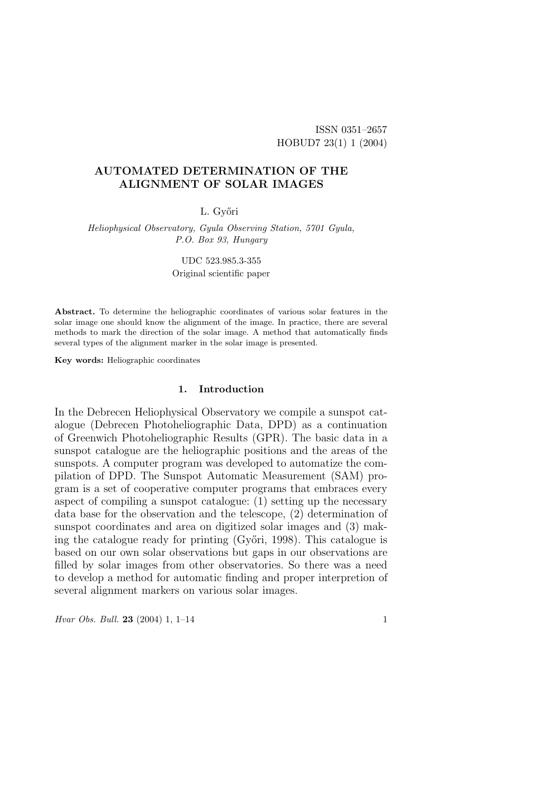ISSN 0351–2657 HOBUD7 23(1) 1 (2004)

# AUTOMATED DETERMINATION OF THE ALIGNMENT OF SOLAR IMAGES

## L. Győri

Heliophysical Observatory, Gyula Observing Station, 5701 Gyula, P.O. Box 93, Hungary

UDC 523.985.3-355

Original scientific paper

Abstract. To determine the heliographic coordinates of various solar features in the solar image one should know the alignment of the image. In practice, there are several methods to mark the direction of the solar image. A method that automatically finds several types of the alignment marker in the solar image is presented.

Key words: Heliographic coordinates

## 1. Introduction

In the Debrecen Heliophysical Observatory we compile a sunspot catalogue (Debrecen Photoheliographic Data, DPD) as a continuation of Greenwich Photoheliographic Results (GPR). The basic data in a sunspot catalogue are the heliographic positions and the areas of the sunspots. A computer program was developed to automatize the compilation of DPD. The Sunspot Automatic Measurement (SAM) program is a set of cooperative computer programs that embraces every aspect of compiling a sunspot catalogue: (1) setting up the necessary data base for the observation and the telescope, (2) determination of sunspot coordinates and area on digitized solar images and (3) making the catalogue ready for printing  $(Gy'$ ori, 1998). This catalogue is based on our own solar observations but gaps in our observations are filled by solar images from other observatories. So there was a need to develop a method for automatic finding and proper interpretion of several alignment markers on various solar images.

Hvar Obs. Bull. 23 (2004) 1, 1–14 1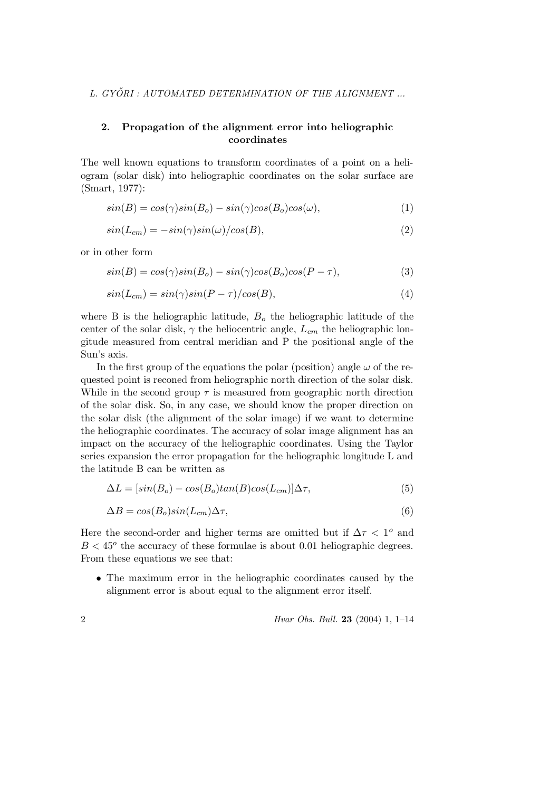# 2. Propagation of the alignment error into heliographic coordinates

The well known equations to transform coordinates of a point on a heliogram (solar disk) into heliographic coordinates on the solar surface are (Smart, 1977):

$$
sin(B) = cos(\gamma)sin(B_o) - sin(\gamma)cos(B_o)cos(\omega),
$$
\n(1)

$$
sin(L_{cm}) = -sin(\gamma)sin(\omega)/cos(B), \qquad (2)
$$

or in other form

$$
sin(B) = cos(\gamma)sin(B_o) - sin(\gamma)cos(B_o)cos(P - \tau),
$$
\n(3)

$$
sin(L_{cm}) = sin(\gamma)sin(P - \tau)/cos(B), \qquad (4)
$$

where B is the heliographic latitude,  $B<sub>o</sub>$  the heliographic latitude of the center of the solar disk,  $\gamma$  the heliocentric angle,  $L_{cm}$  the heliographic longitude measured from central meridian and P the positional angle of the Sun's axis.

In the first group of the equations the polar (position) angle  $\omega$  of the requested point is reconed from heliographic north direction of the solar disk. While in the second group  $\tau$  is measured from geographic north direction of the solar disk. So, in any case, we should know the proper direction on the solar disk (the alignment of the solar image) if we want to determine the heliographic coordinates. The accuracy of solar image alignment has an impact on the accuracy of the heliographic coordinates. Using the Taylor series expansion the error propagation for the heliographic longitude L and the latitude B can be written as

$$
\Delta L = [sin(Bo) - cos(Bo)tan(B)cos(Lcm)]\Delta \tau,
$$
\n(5)

$$
\Delta B = \cos(B_o)\sin(L_{cm})\Delta \tau,\tag{6}
$$

Here the second-order and higher terms are omitted but if  $\Delta \tau < 1^{\circ}$  and  $B < 45^{\circ}$  the accuracy of these formulae is about 0.01 heliographic degrees. From these equations we see that:

• The maximum error in the heliographic coordinates caused by the alignment error is about equal to the alignment error itself.

2 Hvar Obs. Bull. 23 (2004) 1, 1–14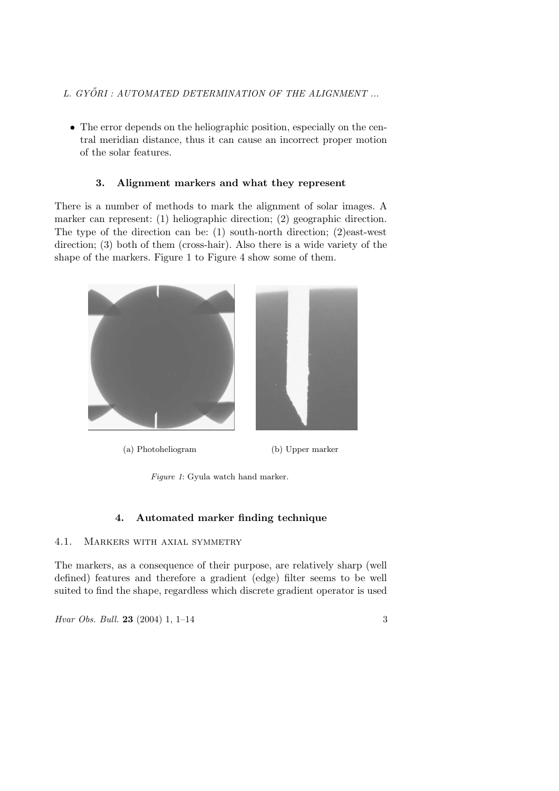- L. GYŐRI : AUTOMATED DETERMINATION OF THE ALIGNMENT ...
	- The error depends on the heliographic position, especially on the central meridian distance, thus it can cause an incorrect proper motion of the solar features.

# 3. Alignment markers and what they represent

There is a number of methods to mark the alignment of solar images. A marker can represent: (1) heliographic direction; (2) geographic direction. The type of the direction can be: (1) south-north direction; (2)east-west direction; (3) both of them (cross-hair). Also there is a wide variety of the shape of the markers. Figure 1 to Figure 4 show some of them.



(a) Photoheliogram (b) Upper marker

Figure 1: Gyula watch hand marker.

## 4. Automated marker finding technique

# 4.1. Markers with axial symmetry

The markers, as a consequence of their purpose, are relatively sharp (well defined) features and therefore a gradient (edge) filter seems to be well suited to find the shape, regardless which discrete gradient operator is used

Hvar Obs. Bull. 23 (2004) 1, 1–14 3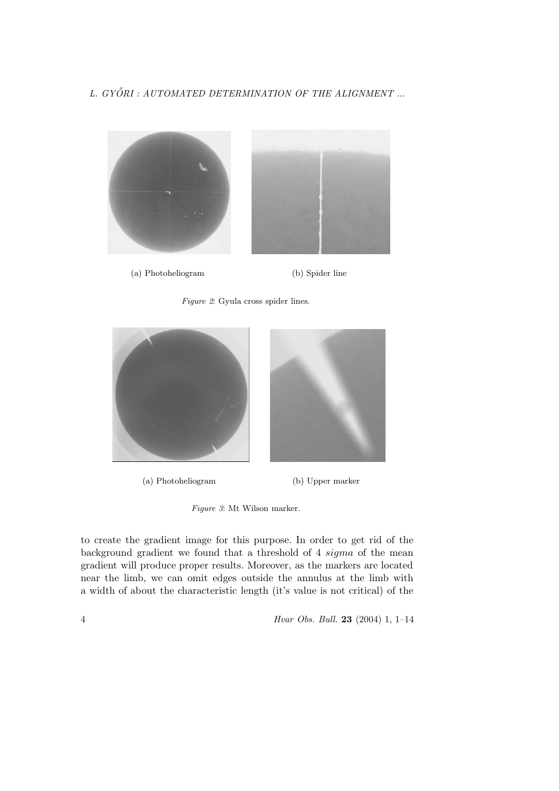

(a) Photoheliogram (b) Spider line

Figure 2: Gyula cross spider lines.



(a) Photoheliogram (b) Upper marker

Figure 3: Mt Wilson marker.

to create the gradient image for this purpose. In order to get rid of the background gradient we found that a threshold of 4 sigma of the mean gradient will produce proper results. Moreover, as the markers are located near the limb, we can omit edges outside the annulus at the limb with a width of about the characteristic length (it's value is not critical) of the

4 Hvar Obs. Bull. 23 (2004) 1, 1–14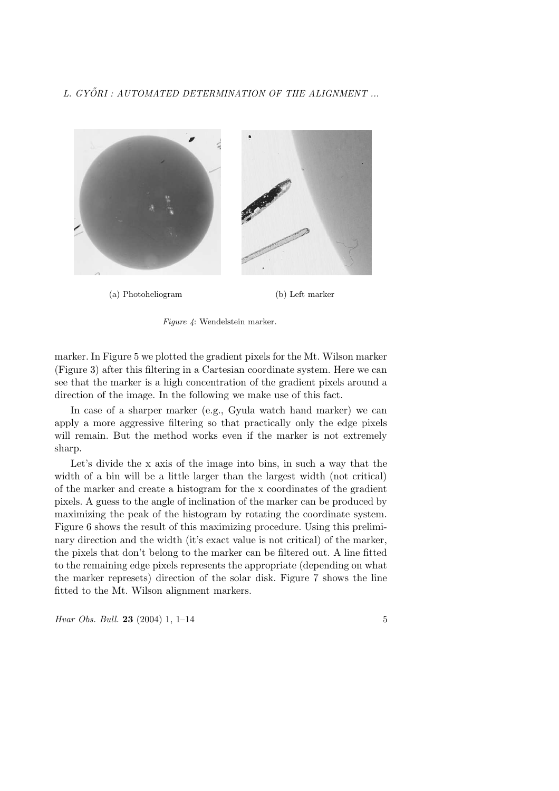

(a) Photoheliogram (b) Left marker



marker. In Figure 5 we plotted the gradient pixels for the Mt. Wilson marker (Figure 3) after this filtering in a Cartesian coordinate system. Here we can see that the marker is a high concentration of the gradient pixels around a direction of the image. In the following we make use of this fact.

In case of a sharper marker (e.g., Gyula watch hand marker) we can apply a more aggressive filtering so that practically only the edge pixels will remain. But the method works even if the marker is not extremely sharp.

Let's divide the x axis of the image into bins, in such a way that the width of a bin will be a little larger than the largest width (not critical) of the marker and create a histogram for the x coordinates of the gradient pixels. A guess to the angle of inclination of the marker can be produced by maximizing the peak of the histogram by rotating the coordinate system. Figure 6 shows the result of this maximizing procedure. Using this preliminary direction and the width (it's exact value is not critical) of the marker, the pixels that don't belong to the marker can be filtered out. A line fitted to the remaining edge pixels represents the appropriate (depending on what the marker represets) direction of the solar disk. Figure 7 shows the line fitted to the Mt. Wilson alignment markers.

Hvar Obs. Bull. 23 (2004) 1, 1–14 5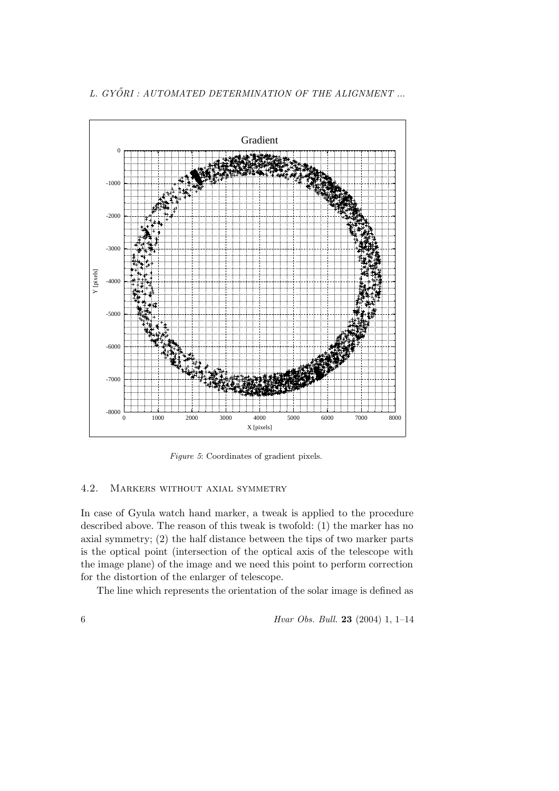

Figure 5: Coordinates of gradient pixels.

# 4.2. Markers without axial symmetry

In case of Gyula watch hand marker, a tweak is applied to the procedure described above. The reason of this tweak is twofold: (1) the marker has no axial symmetry; (2) the half distance between the tips of two marker parts is the optical point (intersection of the optical axis of the telescope with the image plane) of the image and we need this point to perform correction for the distortion of the enlarger of telescope.

The line which represents the orientation of the solar image is defined as

6 Hvar Obs. Bull. 23 (2004) 1, 1–14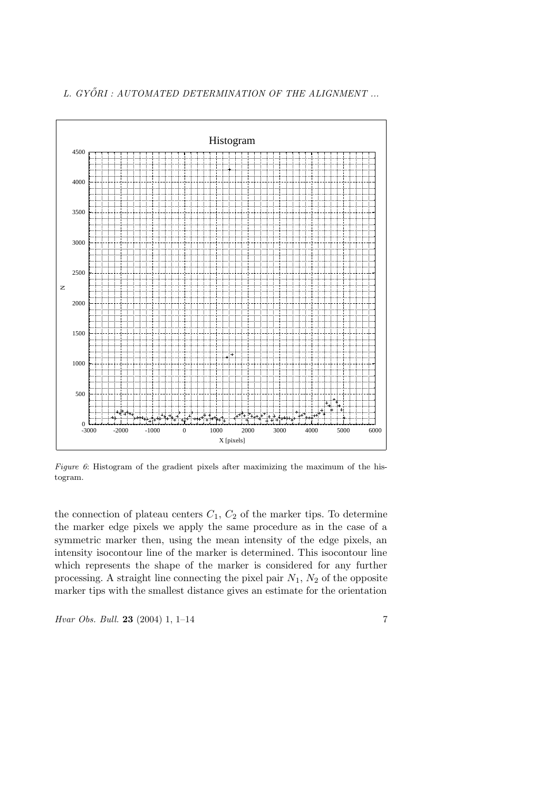

Figure 6: Histogram of the gradient pixels after maximizing the maximum of the histogram.

the connection of plateau centers  $C_1$ ,  $C_2$  of the marker tips. To determine the marker edge pixels we apply the same procedure as in the case of a symmetric marker then, using the mean intensity of the edge pixels, an intensity isocontour line of the marker is determined. This isocontour line which represents the shape of the marker is considered for any further processing. A straight line connecting the pixel pair  $N_1$ ,  $N_2$  of the opposite marker tips with the smallest distance gives an estimate for the orientation

Hvar Obs. Bull. 23 (2004) 1,  $1-14$  7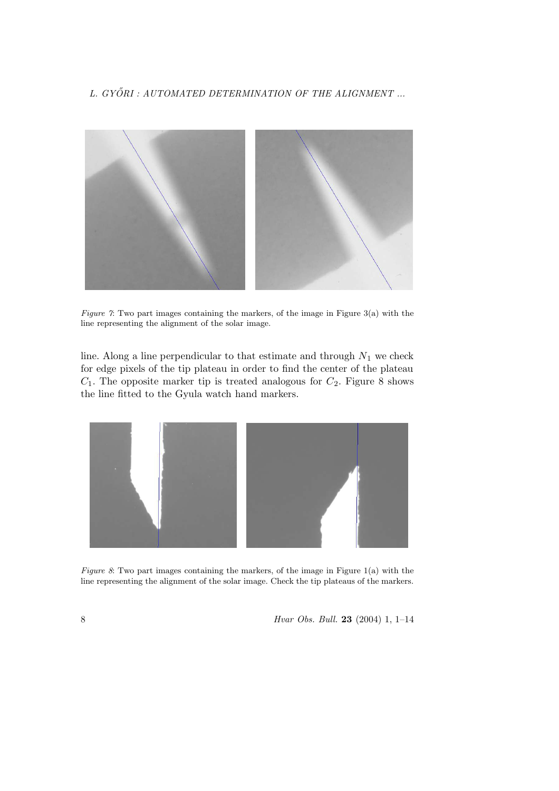

Figure 7: Two part images containing the markers, of the image in Figure 3(a) with the line representing the alignment of the solar image.

line. Along a line perpendicular to that estimate and through  $N_1$  we check for edge pixels of the tip plateau in order to find the center of the plateau  $C_1$ . The opposite marker tip is treated analogous for  $C_2$ . Figure 8 shows the line fitted to the Gyula watch hand markers.



Figure 8: Two part images containing the markers, of the image in Figure  $1(a)$  with the line representing the alignment of the solar image. Check the tip plateaus of the markers.

8 Hvar Obs. Bull. 23 (2004) 1, 1–14